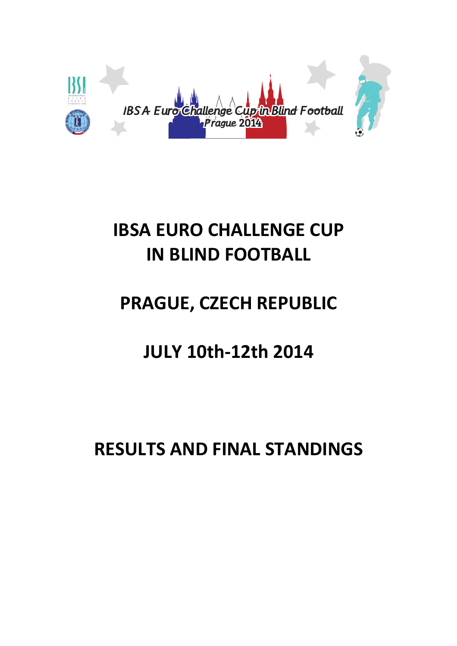

# IBSA EURO CHALLENGE CUP IN BLIND FOOTBALL

# PRAGUE, CZECH REPUBLIC

## JULY 10th-12th 2014

## RESULTS AND FINAL STANDINGS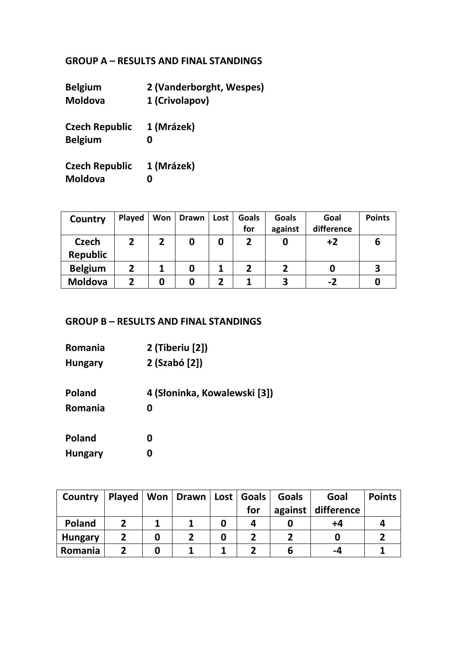### GROUP A – RESULTS AND FINAL STANDINGS

| 2 (Vanderborght, Wespes) |
|--------------------------|
| 1 (Crivolapov)           |
| 1 (Mrázek)               |
|                          |
| 1 (Mrázek)               |
|                          |
|                          |

| Country                         | Played | Won | <b>Drawn</b> | Lost | <b>Goals</b> | <b>Goals</b> | Goal       | <b>Points</b> |
|---------------------------------|--------|-----|--------------|------|--------------|--------------|------------|---------------|
|                                 |        |     |              |      | for          | against      | difference |               |
| <b>Czech</b><br><b>Republic</b> | 2      |     |              | 0    |              |              | $+2$       | b             |
| <b>Belgium</b>                  | 2      |     |              |      |              |              |            | З             |
| <b>Moldova</b>                  | 2      |     |              | 2    |              | 3            | $-2$       |               |

### GROUP B – RESULTS AND FINAL STANDINGS

| <b>Romania</b> | 2 (Tiberiu [2])              |
|----------------|------------------------------|
| <b>Hungary</b> | 2 (Szabó [2])                |
| <b>Poland</b>  | 4 (Słoninka, Kowalewski [3]) |
| Romania        | 0                            |
| <b>Poland</b>  | 0                            |
| <b>Hungary</b> | 0                            |

| Country        | <b>Played</b> | Won   Drawn   Lost   Goals |   |     | <b>Goals</b> | Goal                 | <b>Points</b> |
|----------------|---------------|----------------------------|---|-----|--------------|----------------------|---------------|
|                |               |                            |   | for |              | against   difference |               |
| Poland         |               |                            | O | 4   |              | +4                   |               |
| <b>Hungary</b> |               |                            | O |     |              |                      |               |
| Romania        |               |                            |   |     | b            | -4                   |               |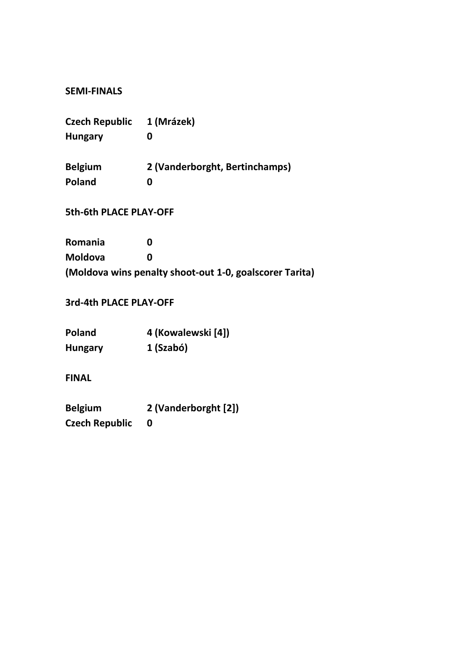### SEMI-FINALS

| Czech Republic                | 1 (Mrázek)                                              |
|-------------------------------|---------------------------------------------------------|
| <b>Hungary</b>                | 0                                                       |
| Belgium                       | 2 (Vanderborght, Bertinchamps)                          |
| Poland                        | 0                                                       |
| <b>5th-6th PLACE PLAY-OFF</b> |                                                         |
| Romania                       | O                                                       |
| Moldova                       | O                                                       |
|                               | (Moldova wins penalty shoot-out 1-0, goalscorer Tarita) |

3rd-4th PLACE PLAY-OFF

| <b>Poland</b>  | 4 (Kowalewski [4]) |
|----------------|--------------------|
| <b>Hungary</b> | 1 (Szabó)          |

FINAL

Belgium 2 (Vanderborght [2]) Czech Republic 0